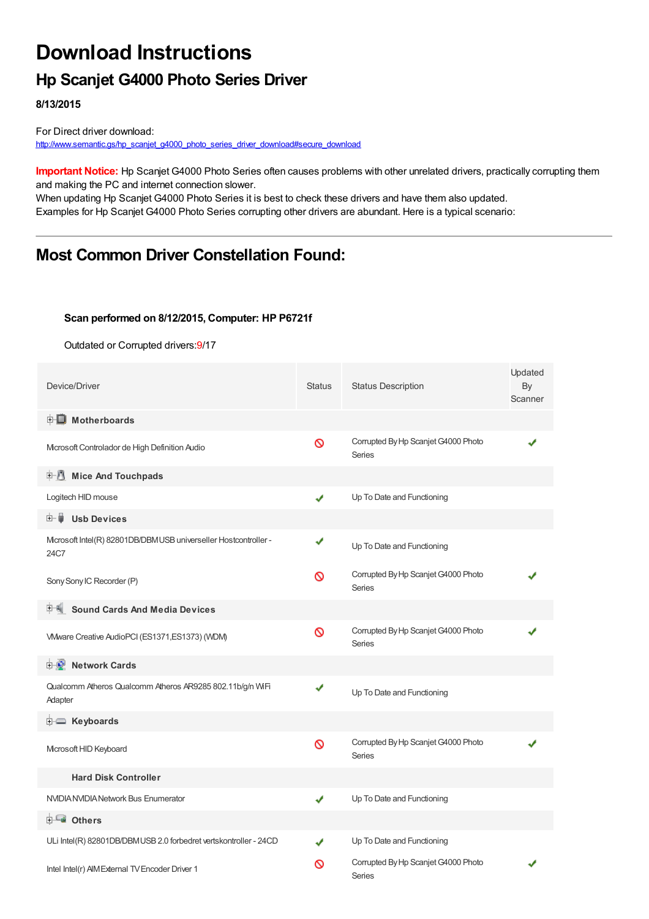## **Download Instructions**

## **Hp Scanjet G4000 Photo Series Driver**

**8/13/2015**

For Direct driver download: [http://www.semantic.gs/hp\\_scanjet\\_g4000\\_photo\\_series\\_driver\\_download#secure\\_download](http://www.semantic.gs/hp_scanjet_g4000_photo_series_driver_download#secure_download)

**Important Notice:** Hp Scanjet G4000 Photo Series often causes problems with other unrelated drivers, practically corrupting them and making the PC and internet connection slower.

When updating Hp Scanjet G4000 Photo Series it is best to check these drivers and have them also updated. Examples for Hp Scanjet G4000 Photo Series corrupting other drivers are abundant. Here is a typical scenario:

### **Most Common Driver Constellation Found:**

#### **Scan performed on 8/12/2015, Computer: HP P6721f**

Outdated or Corrupted drivers:9/17

| Device/Driver                                                          | <b>Status</b> | <b>Status Description</b>                            | Updated<br>By<br>Scanner |
|------------------------------------------------------------------------|---------------|------------------------------------------------------|--------------------------|
| <b>E</b> Motherboards                                                  |               |                                                      |                          |
| Microsoft Controlador de High Definition Audio                         | Ø             | Corrupted By Hp Scanjet G4000 Photo<br>Series        |                          |
| Mice And Touchpads                                                     |               |                                                      |                          |
| Logitech HID mouse                                                     | ✔             | Up To Date and Functioning                           |                          |
| Ė~ U<br><b>Usb Devices</b>                                             |               |                                                      |                          |
| Mcrosoft Intel(R) 82801DB/DBMUSB universeller Hostcontroller -<br>24C7 | ✔             | Up To Date and Functioning                           |                          |
| Sony Sony IC Recorder (P)                                              | Ø             | Corrupted By Hp Scanjet G4000 Photo<br>Series        |                          |
| <b>Sound Cards And Media Devices</b>                                   |               |                                                      |                          |
| VMware Creative AudioPCI (ES1371, ES1373) (WDM)                        | Ø             | Corrupted By Hp Scanjet G4000 Photo<br>Series        |                          |
| <b>E-2</b> Network Cards                                               |               |                                                      |                          |
| Qualcomm Atheros Qualcomm Atheros AR9285 802.11b/g/n WiFi<br>Adapter   | ✔             | Up To Date and Functioning                           |                          |
| <b>E</b> Keyboards                                                     |               |                                                      |                          |
| Microsoft HID Keyboard                                                 | Ø             | Corrupted By Hp Scanjet G4000 Photo<br><b>Series</b> |                          |
| <b>Hard Disk Controller</b>                                            |               |                                                      |                          |
| NVIDIA NVIDIA Network Bus Enumerator                                   | ✔             | Up To Date and Functioning                           |                          |
| <b>E</b> Others                                                        |               |                                                      |                          |
| ULi Intel(R) 82801DB/DBMUSB 2.0 forbedret vertskontroller - 24CD       |               | Up To Date and Functioning                           |                          |
| Intel Intel(r) AIM External TV Encoder Driver 1                        | ∾             | Corrupted By Hp Scanjet G4000 Photo<br>Series        |                          |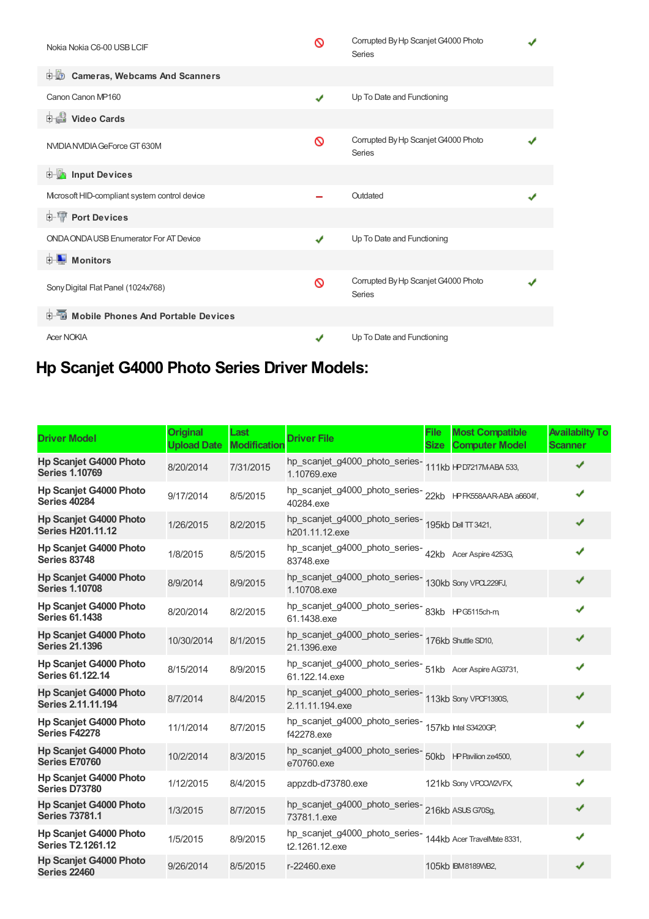| Nokia Nokia C6-00 USB LCIF                    | ଷ            | Corrupted By Hp Scanjet G4000 Photo<br><b>Series</b> |  |
|-----------------------------------------------|--------------|------------------------------------------------------|--|
| <b>E.B.</b> Cameras, Webcams And Scanners     |              |                                                      |  |
| Canon Canon MP160                             | $\checkmark$ | Up To Date and Functioning                           |  |
| Video Cards                                   |              |                                                      |  |
| NVIDIA NVIDIA GeForce GT 630M                 | ଷ            | Corrupted By Hp Scanjet G4000 Photo<br><b>Series</b> |  |
| <b>Devices</b> Input Devices                  |              |                                                      |  |
| Mcrosoft HID-compliant system control device  |              | Outdated                                             |  |
| <b>E-TP</b> Port Devices                      |              |                                                      |  |
| <b>ONDA ONDA USB Enumerator For AT Device</b> | ✔            | Up To Date and Functioning                           |  |
| <b>E</b> Monitors                             |              |                                                      |  |
| Sony Digital Flat Panel (1024x768)            | ଷ            | Corrupted By Hp Scanjet G4000 Photo<br><b>Series</b> |  |
| <b>E-</b> Mobile Phones And Portable Devices  |              |                                                      |  |
| <b>Acer NOKIA</b>                             |              | Up To Date and Functioning                           |  |

# **Hp Scanjet G4000 Photo Series Driver Models:**

| <b>Driver Model</b>                                       | <b>Original</b><br><b>Upload Date</b> | Last<br><b>Modification</b> | <b>Driver File</b>                                                              | <b>File</b><br><b>Size</b> | <b>Most Compatible</b><br><b>Computer Model</b> | <b>Availabilty To</b><br><b>Scanner</b> |
|-----------------------------------------------------------|---------------------------------------|-----------------------------|---------------------------------------------------------------------------------|----------------------------|-------------------------------------------------|-----------------------------------------|
| <b>Hp Scanjet G4000 Photo</b><br><b>Series 1.10769</b>    | 8/20/2014                             | 7/31/2015                   | hp_scanjet_g4000_photo_series-<br>1.10769.exe                                   |                            | 111kb HPD7217M-ABA 533,                         | ✔                                       |
| <b>Hp Scanjet G4000 Photo</b><br><b>Series 40284</b>      | 9/17/2014                             | 8/5/2015                    | 40284.exe                                                                       |                            |                                                 | ✔                                       |
| <b>Hp Scanjet G4000 Photo</b><br><b>Series H201.11.12</b> | 1/26/2015                             | 8/2/2015                    | hp_scanjet_g4000_photo_series-<br>195kb Dell TT 3421,<br>h201.11.12.exe         |                            |                                                 | ✔                                       |
| Hp Scanjet G4000 Photo<br><b>Series 83748</b>             | 1/8/2015                              | 8/5/2015                    | hp_scanjet_g4000_photo_series-<br>42kb Acer Aspire 4253G,<br>83748.exe          |                            |                                                 |                                         |
| <b>Hp Scanjet G4000 Photo</b><br><b>Series 1.10708</b>    | 8/9/2014                              | 8/9/2015                    | hp_scanjet_g4000_photo_series-130kb Sony VPQ229FJ,<br>1.10708.exe               |                            |                                                 | ✔                                       |
| <b>Hp Scanjet G4000 Photo</b><br><b>Series 61.1438</b>    | 8/20/2014                             | 8/2/2015                    | hp_scanjet_g4000_photo_series-<br>83kb HPG5115ch-m<br>61.1438.exe               |                            |                                                 | ✔                                       |
| <b>Hp Scanjet G4000 Photo</b><br><b>Series 21.1396</b>    | 10/30/2014                            | 8/1/2015                    | hp_scanjet_g4000_photo_series-176kb Shuttle SD10,<br>21.1396.exe                |                            |                                                 |                                         |
| Hp Scanjet G4000 Photo<br>Series 61.122.14                | 8/15/2014                             | 8/9/2015                    | hp_scanjet_g4000_photo_series-<br>51kb Acer Aspire AG3731,<br>61.122.14.exe     |                            |                                                 | ✔                                       |
| <b>Hp Scanjet G4000 Photo</b><br>Series 2.11.11.194       | 8/7/2014                              | 8/4/2015                    | hp_scanjet_g4000_photo_series-<br>113kb Sony VPOF1390S,<br>2.11.11.194.exe      |                            |                                                 | ✔                                       |
| <b>Hp Scanjet G4000 Photo</b><br>Series F42278            | 11/1/2014                             | 8/7/2015                    | hp_scanjet_g4000_photo_series-<br>157kb Intel S3420GP,<br>f42278.exe            |                            |                                                 | ✔                                       |
| <b>Hp Scanjet G4000 Photo</b><br><b>Series E70760</b>     | 10/2/2014                             | 8/3/2015                    | e70760.exe                                                                      |                            |                                                 | ✔                                       |
| Hp Scanjet G4000 Photo<br>Series D73780                   | 1/12/2015                             | 8/4/2015                    | appzdb-d73780.exe                                                               |                            | 121kb Sony VPCCW2VFX,                           |                                         |
| <b>Hp Scanjet G4000 Photo</b><br><b>Series 73781.1</b>    | 1/3/2015                              | 8/7/2015                    | hp_scanjet_g4000_photo_series-<br>216kb ASUS G70Sg,<br>73781.1.exe              |                            |                                                 |                                         |
| Hp Scanjet G4000 Photo<br><b>Series T2.1261.12</b>        | 1/5/2015                              | 8/9/2015                    | hp_scanjet_g4000_photo_series-<br>144kb Acer TravelMate 8331,<br>t2.1261.12.exe |                            |                                                 | ✔                                       |
| <b>Hp Scanjet G4000 Photo</b><br><b>Series 22460</b>      | 9/26/2014                             | 8/5/2015                    | r-22460.exe                                                                     |                            | 105kb IBM8189WB2,                               | ✔                                       |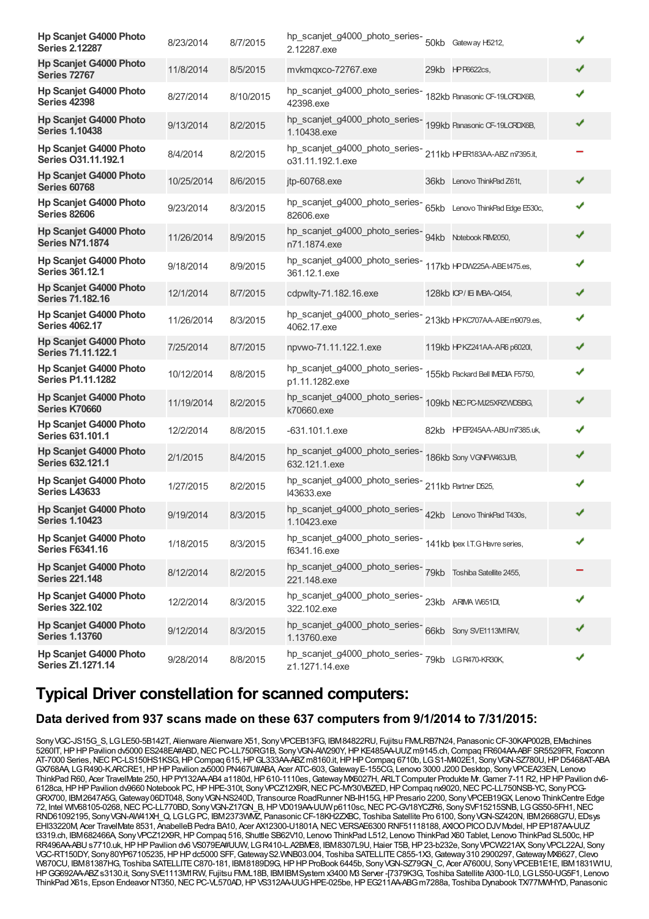| <b>Hp Scanjet G4000 Photo</b><br><b>Series 2.12287</b>    | 8/23/2014  | 8/7/2015  | hp_scanjet_g4000_photo_series-<br>50kb Gateway H5212,<br>2.12287.exe            |                                  | ✔ |
|-----------------------------------------------------------|------------|-----------|---------------------------------------------------------------------------------|----------------------------------|---|
| <b>Hp Scanjet G4000 Photo</b><br><b>Series 72767</b>      | 11/8/2014  | 8/5/2015  | mvkmqxco-72767.exe                                                              | 29kb HP P6622cs,                 | ✔ |
| <b>Hp Scanjet G4000 Photo</b><br><b>Series 42398</b>      | 8/27/2014  | 8/10/2015 | hp_scanjet_g4000_photo_series-<br>42398.exe                                     | 182kb Panasonic CF-19LCRDX6B,    | ✔ |
| <b>Hp Scanjet G4000 Photo</b><br><b>Series 1.10438</b>    | 9/13/2014  | 8/2/2015  | hp_scanjet_g4000_photo_series-<br>199kb Panasonic CF-19LCRDX6B,<br>1.10438.exe  |                                  | ✔ |
| Hp Scanjet G4000 Photo<br>Series O31.11.192.1             | 8/4/2014   | 8/2/2015  | hp_scanjet_g4000_photo_series-<br>o31.11.192.1.exe                              | 211kb HP ER183AA-ABZ m7395.it,   |   |
| <b>Hp Scanjet G4000 Photo</b><br><b>Series 60768</b>      | 10/25/2014 | 8/6/2015  | jtp-60768.exe                                                                   | 36kb Lenovo ThinkPad Z61t,       | ✔ |
| <b>Hp Scanjet G4000 Photo</b><br><b>Series 82606</b>      | 9/23/2014  | 8/3/2015  | hp_scanjet_g4000_photo_series-<br>82606.exe                                     | 65kb Lenovo ThinkPad Edge E530c, | ✔ |
| <b>Hp Scanjet G4000 Photo</b><br><b>Series N71.1874</b>   | 11/26/2014 | 8/9/2015  | hp_scanjet_g4000_photo_series-<br>94kb Notebook RIM2050,<br>n71.1874.exe        |                                  | ✔ |
| <b>Hp Scanjet G4000 Photo</b><br><b>Series 361.12.1</b>   | 9/18/2014  | 8/9/2015  | hp_scanjet_g4000_photo_series-<br>117kb HPDW225A-ABEt475.es,<br>361.12.1.exe    |                                  | ✔ |
| <b>Hp Scanjet G4000 Photo</b><br><b>Series 71.182.16</b>  | 12/1/2014  | 8/7/2015  | cdpwlty-71.182.16.exe                                                           | 128kb ICP/IE IMBA-Q454,          | ✔ |
| <b>Hp Scanjet G4000 Photo</b><br><b>Series 4062.17</b>    | 11/26/2014 | 8/3/2015  | hp_scanjet_g4000_photo_series-<br>4062.17.exe                                   | 213kb HPKC707AA-ABEm9079.es,     | ✔ |
| Hp Scanjet G4000 Photo<br>Series 71.11.122.1              | 7/25/2014  | 8/7/2015  | npvwo-71.11.122.1.exe                                                           | 119kb HPKZ241AA-AR6 p6020l,      | ✔ |
| <b>Hp Scanjet G4000 Photo</b><br><b>Series P1.11.1282</b> | 10/12/2014 | 8/8/2015  | hp_scanjet_g4000_photo_series-<br>p1.11.1282.exe                                | 155kb Packard Bell IMEDIA F5750, | ✔ |
| Hp Scanjet G4000 Photo<br>Series K70660                   | 11/19/2014 | 8/2/2015  | hp_scanjet_g4000_photo_series-<br>109kb NECPCMI25XRZWDSBG,<br>k70660.exe        |                                  | ✔ |
| <b>Hp Scanjet G4000 Photo</b><br>Series 631.101.1         | 12/2/2014  | 8/8/2015  | -631.101.1.exe                                                                  | 82kb HP EP245AA-ABU m7385.uk,    | ✔ |
| <b>Hp Scanjet G4000 Photo</b><br><b>Series 632.121.1</b>  | 2/1/2015   | 8/4/2015  | hp_scanjet_g4000_photo_series-<br>186kb Sony VGNFV463J/B,<br>632.121.1.exe      |                                  | ✔ |
| <b>Hp Scanjet G4000 Photo</b><br><b>Series L43633</b>     | 1/27/2015  | 8/2/2015  | hp_scanjet_g4000_photo_series-<br>211kb Partner D525,<br>I43633.exe             |                                  | ✔ |
| <b>Hp Scanjet G4000 Photo</b><br><b>Series 1.10423</b>    | 9/19/2014  | 8/3/2015  | hp_scanjet_g4000_photo_series-<br>42kb Lenovo ThinkPad T430s,<br>1.10423.exe    |                                  |   |
| <b>Hp Scanjet G4000 Photo</b><br><b>Series F6341.16</b>   | 1/18/2015  | 8/3/2015  | hp_scanjet_g4000_photo_series-<br>141kb lpex LT.G Havre series,<br>f6341.16.exe |                                  |   |
| <b>Hp Scanjet G4000 Photo</b><br><b>Series 221.148</b>    | 8/12/2014  | 8/2/2015  | hp_scanjet_g4000_photo_series-<br>79kb Toshiba Satellite 2455,<br>221.148.exe   |                                  |   |
| <b>Hp Scanjet G4000 Photo</b><br><b>Series 322.102</b>    | 12/2/2014  | 8/3/2015  | hp_scanjet_g4000_photo_series-<br>23kb ARIMA W651DI,<br>322.102.exe             |                                  |   |
| Hp Scanjet G4000 Photo<br><b>Series 1.13760</b>           | 9/12/2014  | 8/3/2015  | hp_scanjet_g4000_photo_series-66kb Sony SVE1113MIRW,<br>1.13760.exe             |                                  | ✔ |
| Hp Scanjet G4000 Photo<br><b>Series Z1.1271.14</b>        | 9/28/2014  | 8/8/2015  | hp_scanjet_g4000_photo_series-<br>79kb LGR470-KR30K,<br>z1.1271.14.exe          |                                  | ✔ |

### **Typical Driver constellation for scanned computers:**

#### **Data derived from 937 scans made on these 637 computers from 9/1/2014 to 7/31/2015:**

Sony VGC-JS15G S, LG LE50-5B142T, Alienware Alienware X51, Sony VPCEB13FG, IBM84822RU, Fujitsu FMLRB7N24, Panasonic CF-30KAP002B, EMachines 5260IT,HPHPPavilion dv5000 ES248EA#ABD,NECPC-LL750RG1B, SonyVGN-AW290Y,HPKE485AA-UUZm9145.ch,Compaq FR604AA-ABFSR5529FR, Foxconn AT-7000 Series, NEC PC-LS150HS1KSG, HP Compaq 615, HP GL333AA-ABZ m8160.it, HP HP Compaq 6710b, LG S1-M402E1, Sony VGN-SZ780U, HP D5468AT-ABA GX768AA, LG R490-K.ARCRE1, HP HP Pavilion zv5000 PN467U#ABA, Acer ATC-603, Gateway E-155CG, Lenovo 3000 J200 Desktop, Sony VPCEA23EN, Lenovo ThinkPad R60, Acer TravelMate 250, HP PY132AA-AB4 a1180d, HP 610-1110es, Gateway MX6027H, ARLT Computer Produkte Mr. Gamer 7-11 R2, HP HP Pavilion dv6-6128ca,HPHPPavilion dv9660 Notebook PC,HPHPE-310t, SonyVPCZ12X9R,NECPC-MY30VBZED,HPCompaq nx9020,NECPC-LL750NSB-YC, SonyPCG-GRX700, IBM2647A5G,Gateway06DT048, SonyVGN-NS240D, Transource RoadRunner NB-IH15G,HPPresario 2200, SonyVPCEB19GX, Lenovo ThinkCentre Edge 72, Intel WIV68105-0268,NECPC-LL770BD, SonyVGN-Z17GN\_B,HPVD019AA-UUWp6110sc,NECPC-GV18YCZR6, SonySVF15215SNB, LGGS50-5FH1,NEC RND61092195, SonyVGN-AW41XH\_Q, LGLGPC, IBM2373WMZ, PanasonicCF-18KH2ZXBC, Toshiba Satellite Pro 6100, SonyVGN-SZ420N, IBM2668G7U, EDsys EHI33220M, Acer TravelMate 8531, AnabelleB Pedra BA10, Acer AX12300-U1801A, NEC VERSAE6300 RNF51118188, AXIOO PICO DJV Model, HP EP187AA-UUZ t3319.ch, IBM682466A, SonyVPCZ12X9R,HPCompaq 516, Shuttle SB62V10, Lenovo ThinkPad L512, Lenovo ThinkPad X60 Tablet, Lenovo ThinkPad SL500c,HP RR496AA-ABU s7710.uk, HP HP Pavilion dv6 VS079EA#UUW, LGR410-L.A2BME8, IBM8307L9U, Haier T5B, HP 23-b232e, Sony VPCW221AX, Sony VPCL22AJ, Sony VGC-RT150DY, Sony80YP67105235,HPHPdc5000 SFF,GatewayS2.WNB03.004, Toshiba SATELLITEC855-1X3,Gateway310 2900297,GatewayMX6627,Clevo W870CU, IBM81387HG, Toshiba SATELLITEC870-181, IBM8189D9G,HPHPProBook 6445b, SonyVGN-SZ79GN\_C, Acer A7600U, SonyVPCEB1E1E, IBM1831W1U, HPGG692AA-ABZs3130.it, SonySVE1113M1RW, Fujitsu FMVL18B, IBMIBMSystem x3400 M3 Server -[7379K3G, Toshiba Satellite A300-1L0, LGLS50-UG5F1, Lenovo ThinkPad X61s, Epson Endeavor NT350,NECPC-VL570AD,HPVS312AA-UUGHPE-025be,HPEG211AA-ABGm7288a, Toshiba Dynabook TX/77MWHYD, Panasonic